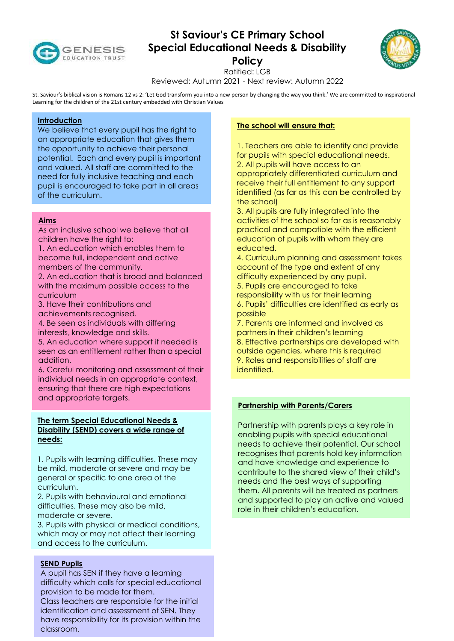

# **St Saviour's CE Primary School Special Educational Needs & Disability Policy**



Ratified: LGB

Reviewed: Autumn 2021 - Next review: Autumn 2022

St. Saviour's biblical vision is Romans 12 vs 2: 'Let God transform you into a new person by changing the way you think.' We are committed to inspirational Learning for the children of the 21st century embedded with Christian Values

## **Introduction**

We believe that every pupil has the right to an appropriate education that gives them the opportunity to achieve their personal potential. Each and every pupil is important and valued. All staff are committed to the need for fully inclusive teaching and each pupil is encouraged to take part in all areas of the curriculum.

# **Aims**

As an inclusive school we believe that all children have the right to:

1. An education which enables them to become full, independent and active members of the community.

2. An education that is broad and balanced with the maximum possible access to the curriculum

3. Have their contributions and achievements recognised.

4. Be seen as individuals with differing interests, knowledge and skills.

5. An education where support if needed is seen as an entitlement rather than a special addition.

6. Careful monitoring and assessment of their individual needs in an appropriate context, ensuring that there are high expectations and appropriate targets.

## **The term Special Educational Needs & Disability (SEND) covers a wide range of needs:**

1. Pupils with learning difficulties. These may be mild, moderate or severe and may be general or specific to one area of the curriculum.

2. Pupils with behavioural and emotional difficulties. These may also be mild, moderate or severe.

3. Pupils with physical or medical conditions, which may or may not affect their learning and access to the curriculum.

## **SEND Pupils**

A pupil has SEN if they have a learning difficulty which calls for special educational provision to be made for them. Class teachers are responsible for the initial identification and assessment of SEN. They have responsibility for its provision within the classroom.

## **The school will ensure that:**

1. Teachers are able to identify and provide for pupils with special educational needs. 2. All pupils will have access to an appropriately differentiated curriculum and receive their full entitlement to any support identified (as far as this can be controlled by the school)

3. All pupils are fully integrated into the activities of the school so far as is reasonably practical and compatible with the efficient education of pupils with whom they are educated.

4. Curriculum planning and assessment takes account of the type and extent of any difficulty experienced by any pupil. 5. Pupils are encouraged to take

responsibility with us for their learning 6. Pupils' difficulties are identified as early as possible

7. Parents are informed and involved as partners in their children's learning 8. Effective partnerships are developed with outside agencies, where this is required 9. Roles and responsibilities of staff are identified.

## **Partnership with Parents/Carers**

Partnership with parents plays a key role in enabling pupils with special educational needs to achieve their potential. Our school recognises that parents hold key information and have knowledge and experience to contribute to the shared view of their child's needs and the best ways of supporting them. All parents will be treated as partners and supported to play an active and valued role in their children's education.